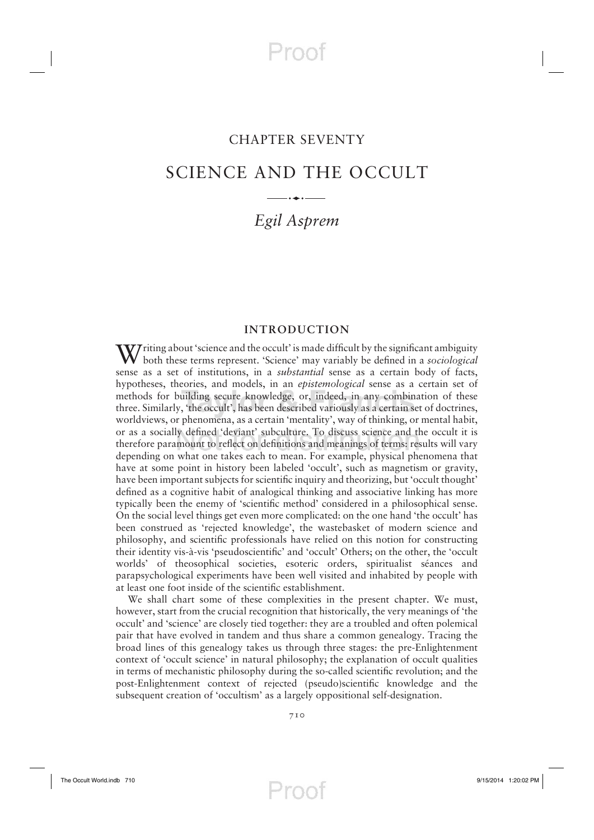# Proot

## CHAPTER SEVENTY SCIENCE AND THE OCCULT

### *Egil Asprem*

### **INTRODUCTION**

W riting about 'science and the occult' is made difficult by the significant ambiguity both these terms represent. 'Science' may variably be defined in a *sociological* sense as a set of institutions, in a *substantial* sense as a certain body of facts, hypotheses, theories, and models, in an *epistemological* sense as a certain set of methods for building secure knowledge, or, indeed, in any combination of these three. Similarly, 'the occult', has been described variously as a certain set of doctrines, worldviews, or phenomena, as a certain 'mentality', way of thinking, or mental habit, or as a socially defined 'deviant' subculture. To discuss science and the occult it is therefore paramount to reflect on definitions and meanings of terms: results will vary depending on what one takes each to mean. For example, physical phenomena that have at some point in history been labeled 'occult', such as magnetism or gravity, have been important subjects for scientific inquiry and theorizing, but 'occult thought' defined as a cognitive habit of analogical thinking and associative linking has more typically been the enemy of 'scientific method' considered in a philosophical sense. On the social level things get even more complicated: on the one hand 'the occult' has been construed as 'rejected knowledge', the wastebasket of modern science and philosophy, and scientific professionals have relied on this notion for constructing their identity vis-à-vis 'pseudoscientific' and 'occult' Others; on the other, the 'occult worlds' of theosophical societies, esoteric orders, spiritualist séances and parapsychological experiments have been well visited and inhabited by people with at least one foot inside of the scientific establishment.

We shall chart some of these complexities in the present chapter. We must, however, start from the crucial recognition that historically, the very meanings of 'the occult' and 'science' are closely tied together: they are a troubled and often polemical pair that have evolved in tandem and thus share a common genealogy. Tracing the broad lines of this genealogy takes us through three stages: the pre-Enlightenment context of 'occult science' in natural philosophy; the explanation of occult qualities in terms of mechanistic philosophy during the so-called scientific revolution; and the post-Enlightenment context of rejected (pseudo)scientific knowledge and the subsequent creation of 'occultism' as a largely oppositional self-designation.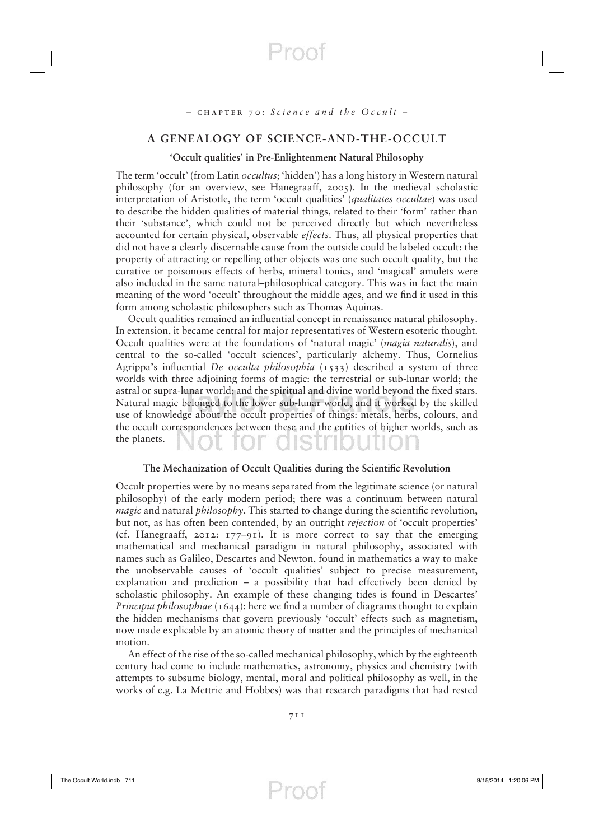#### *–* chapter 70: *Science and the Occult –*

### **A GENEALOGY OF SCIENCE-AND-THE-OCCULT**

#### **'Occult qualities' in Pre-Enlightenment Natural Philosophy**

The term 'occult' (from Latin *occultus*; 'hidden') has a long history in Western natural philosophy (for an overview, see Hanegraaff, 2005). In the medieval scholastic interpretation of Aristotle, the term 'occult qualities' (*qualitates occultae*) was used to describe the hidden qualities of material things, related to their 'form' rather than their 'substance', which could not be perceived directly but which nevertheless accounted for certain physical, observable *effects*. Thus, all physical properties that did not have a clearly discernable cause from the outside could be labeled occult: the property of attracting or repelling other objects was one such occult quality, but the curative or poisonous effects of herbs, mineral tonics, and 'magical' amulets were also included in the same natural–philosophical category. This was in fact the main meaning of the word 'occult' throughout the middle ages, and we find it used in this form among scholastic philosophers such as Thomas Aquinas.

Occult qualities remained an influential concept in renaissance natural philosophy. In extension, it became central for major representatives of Western esoteric thought. Occult qualities were at the foundations of 'natural magic' (*magia naturalis*), and central to the so-called 'occult sciences', particularly alchemy. Thus, Cornelius Agrippa's influential *De occulta philosophia* (1533) described a system of three worlds with three adjoining forms of magic: the terrestrial or sub-lunar world; the astral or supra-lunar world; and the spiritual and divine world beyond the fixed stars. Natural magic belonged to the lower sub-lunar world, and it worked by the skilled use of knowledge about the occult properties of things: metals, herbs, colours, and the occult correspondences between these and the entities of higher worlds, such as the planets.

#### **The Mechanization of Occult Qualities during the Scientific Revolution**

Occult properties were by no means separated from the legitimate science (or natural philosophy) of the early modern period; there was a continuum between natural *magic* and natural *philosophy*. This started to change during the scientific revolution, but not, as has often been contended, by an outright *rejection* of 'occult properties' (cf. Hanegraaff,  $2012$ :  $177-91$ ). It is more correct to say that the emerging mathematical and mechanical paradigm in natural philosophy, associated with names such as Galileo, Descartes and Newton, found in mathematics a way to make the unobservable causes of 'occult qualities' subject to precise measurement, explanation and prediction – a possibility that had effectively been denied by scholastic philosophy. An example of these changing tides is found in Descartes' *Principia philosophiae* (1644): here we find a number of diagrams thought to explain the hidden mechanisms that govern previously 'occult' effects such as magnetism, now made explicable by an atomic theory of matter and the principles of mechanical motion.

An effect of the rise of the so-called mechanical philosophy, which by the eighteenth century had come to include mathematics, astronomy, physics and chemistry (with attempts to subsume biology, mental, moral and political philosophy as well, in the works of e.g. La Mettrie and Hobbes) was that research paradigms that had rested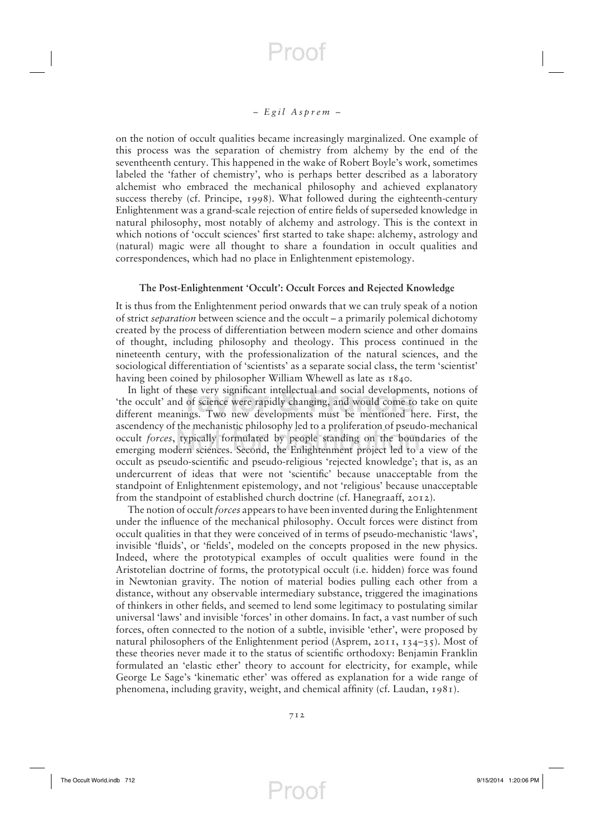#### *– Egil Asprem –*

Proot

on the notion of occult qualities became increasingly marginalized. One example of this process was the separation of chemistry from alchemy by the end of the seventheenth century. This happened in the wake of Robert Boyle's work, sometimes labeled the 'father of chemistry', who is perhaps better described as a laboratory alchemist who embraced the mechanical philosophy and achieved explanatory success thereby (cf. Principe, 1998). What followed during the eighteenth-century Enlightenment was a grand-scale rejection of entire fields of superseded knowledge in natural philosophy, most notably of alchemy and astrology. This is the context in which notions of 'occult sciences' first started to take shape: alchemy, astrology and (natural) magic were all thought to share a foundation in occult qualities and correspondences, which had no place in Enlightenment epistemology.

### **The Post-Enlightenment 'Occult': Occult Forces and Rejected Knowledge**

It is thus from the Enlightenment period onwards that we can truly speak of a notion of strict *separation* between science and the occult – a primarily polemical dichotomy created by the process of differentiation between modern science and other domains of thought, including philosophy and theology. This process continued in the nineteenth century, with the professionalization of the natural sciences, and the sociological differentiation of 'scientists' as a separate social class, the term 'scientist' having been coined by philosopher William Whewell as late as 1840.

In light of these very significant intellectual and social developments, notions of 'the occult' and of science were rapidly changing, and would come to take on quite different meanings. Two new developments must be mentioned here. First, the ascendency of the mechanistic philosophy led to a proliferation of pseudo-mechanical occult *forces*, typically formulated by people standing on the boundaries of the emerging modern sciences. Second, the Enlightenment project led to a view of the occult as pseudo-scientific and pseudo-religious 'rejected knowledge'; that is, as an undercurrent of ideas that were not 'scientific' because unacceptable from the standpoint of Enlightenment epistemology, and not 'religious' because unacceptable from the standpoint of established church doctrine (cf. Hanegraaff, 2012).

The notion of occult *forces* appears to have been invented during the Enlightenment under the influence of the mechanical philosophy. Occult forces were distinct from occult qualities in that they were conceived of in terms of pseudo-mechanistic 'laws', invisible 'fluids', or 'fields', modeled on the concepts proposed in the new physics. Indeed, where the prototypical examples of occult qualities were found in the Aristotelian doctrine of forms, the prototypical occult (i.e. hidden) force was found in Newtonian gravity. The notion of material bodies pulling each other from a distance, without any observable intermediary substance, triggered the imaginations of thinkers in other fields, and seemed to lend some legitimacy to postulating similar universal 'laws' and invisible 'forces' in other domains. In fact, a vast number of such forces, often connected to the notion of a subtle, invisible 'ether', were proposed by natural philosophers of the Enlightenment period (Asprem, 2011, 134–35). Most of these theories never made it to the status of scientific orthodoxy: Benjamin Franklin formulated an 'elastic ether' theory to account for electricity, for example, while George Le Sage's 'kinematic ether' was offered as explanation for a wide range of phenomena, including gravity, weight, and chemical affinity (cf. Laudan,  $1981$ ).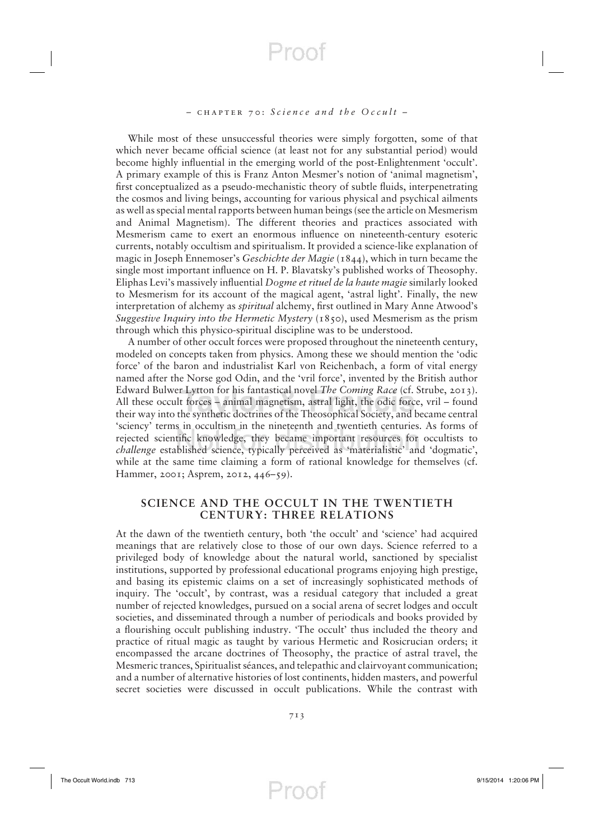# -Praat

#### *–* chapter 70: *Science and the Occult –*

While most of these unsuccessful theories were simply forgotten, some of that which never became official science (at least not for any substantial period) would become highly influential in the emerging world of the post-Enlightenment 'occult'. A primary example of this is Franz Anton Mesmer's notion of 'animal magnetism', first conceptualized as a pseudo-mechanistic theory of subtle fluids, interpenetrating the cosmos and living beings, accounting for various physical and psychical ailments as well as special mental rapports between human beings (see the article on Mesmerism and Animal Magnetism). The different theories and practices associated with Mesmerism came to exert an enormous influence on nineteenth-century esoteric currents, notably occultism and spiritualism. It provided a science-like explanation of magic in Joseph Ennemoser's *Geschichte der Magie* (1844), which in turn became the single most important influence on H. P. Blavatsky's published works of Theosophy. Eliphas Levi's massively infl uential *Dogme et rituel de la haute magie* similarly looked to Mesmerism for its account of the magical agent, 'astral light'. Finally, the new interpretation of alchemy as *spiritual* alchemy, first outlined in Mary Anne Atwood's *Suggestive Inquiry into the Hermetic Mystery* (1850), used Mesmerism as the prism through which this physico-spiritual discipline was to be understood.

A number of other occult forces were proposed throughout the nineteenth century, modeled on concepts taken from physics. Among these we should mention the 'odic force' of the baron and industrialist Karl von Reichenbach, a form of vital energy named after the Norse god Odin, and the 'vril force', invented by the British author Edward Bulwer Lytton for his fantastical novel *The Coming Race* (cf. Strube, 2013). All these occult forces – animal magnetism, astral light, the odic force, vril – found their way into the synthetic doctrines of the Theosophical Society, and became central 'sciency' terms in occultism in the nineteenth and twentieth centuries. As forms of rejected scientific knowledge, they became important resources for occultists to *challenge* established science, typically perceived as 'materialistic' and 'dogmatic', while at the same time claiming a form of rational knowledge for themselves (cf. Hammer, 2001; Asprem, 2012, 446-59).

### **SCIENCE AND THE OCCULT IN THE TWENTIETH CENTURY: THREE RELATIONS**

At the dawn of the twentieth century, both 'the occult' and 'science' had acquired meanings that are relatively close to those of our own days. Science referred to a privileged body of knowledge about the natural world, sanctioned by specialist institutions, supported by professional educational programs enjoying high prestige, and basing its epistemic claims on a set of increasingly sophisticated methods of inquiry. The 'occult', by contrast, was a residual category that included a great number of rejected knowledges, pursued on a social arena of secret lodges and occult societies, and disseminated through a number of periodicals and books provided by a flourishing occult publishing industry. The occult' thus included the theory and practice of ritual magic as taught by various Hermetic and Rosicrucian orders; it encompassed the arcane doctrines of Theosophy, the practice of astral travel, the Mesmeric trances, Spiritualist séances, and telepathic and clairvoyant communication; and a number of alternative histories of lost continents, hidden masters, and powerful secret societies were discussed in occult publications. While the contrast with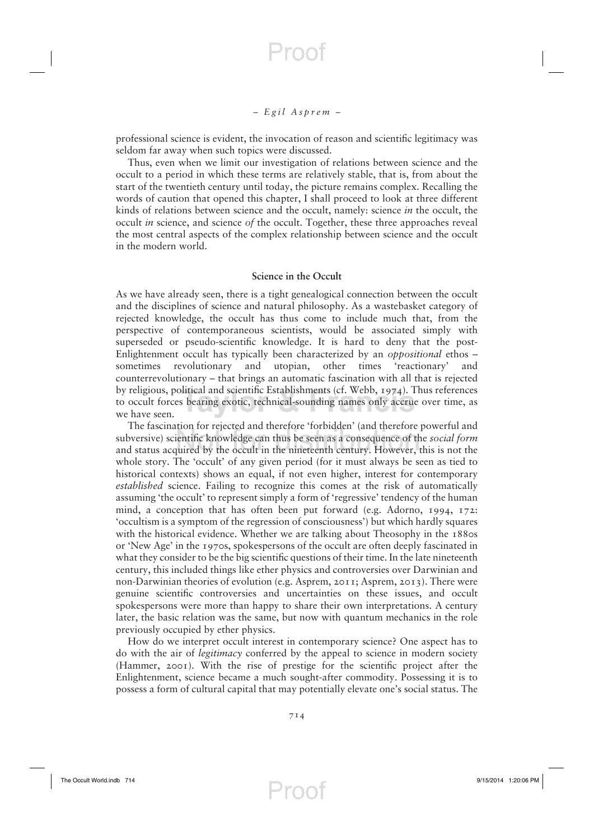#### *– Egil Asprem –*

Proot

professional science is evident, the invocation of reason and scientific legitimacy was seldom far away when such topics were discussed.

Thus, even when we limit our investigation of relations between science and the occult to a period in which these terms are relatively stable, that is, from about the start of the twentieth century until today, the picture remains complex. Recalling the words of caution that opened this chapter, I shall proceed to look at three different kinds of relations between science and the occult, namely: science *in* the occult, the occult *in* science, and science *of* the occult. Together, these three approaches reveal the most central aspects of the complex relationship between science and the occult in the modern world.

#### **Science in the Occult**

As we have already seen, there is a tight genealogical connection between the occult and the disciplines of science and natural philosophy. As a wastebasket category of rejected knowledge, the occult has thus come to include much that, from the perspective of contemporaneous scientists, would be associated simply with superseded or pseudo-scientific knowledge. It is hard to deny that the post-Enlightenment occult has typically been characterized by an *oppositional* ethos – sometimes revolutionary and utopian, other times 'reactionary' counterrevolutionary – that brings an automatic fascination with all that is rejected by religious, political and scientific Establishments (cf. Webb,  $1974$ ). Thus references to occult forces bearing exotic, technical-sounding names only accrue over time, as we have seen.

The fascination for rejected and therefore 'forbidden' (and therefore powerful and subversive) scientific knowledge can thus be seen as a consequence of the *social form* and status acquired by the occult in the nineteenth century. However, this is not the whole story. The 'occult' of any given period (for it must always be seen as tied to historical contexts) shows an equal, if not even higher, interest for contemporary *established* science. Failing to recognize this comes at the risk of automatically assuming 'the occult' to represent simply a form of 'regressive' tendency of the human mind, a conception that has often been put forward (e.g. Adorno, 1994, 172: 'occultism is a symptom of the regression of consciousness') but which hardly squares with the historical evidence. Whether we are talking about Theosophy in the 1880s or 'New Age' in the 1970s, spokespersons of the occult are often deeply fascinated in what they consider to be the big scientific questions of their time. In the late nineteenth century, this included things like ether physics and controversies over Darwinian and non-Darwinian theories of evolution (e.g. Asprem, 2011; Asprem, 2013). There were genuine scientific controversies and uncertainties on these issues, and occult spokespersons were more than happy to share their own interpretations. A century later, the basic relation was the same, but now with quantum mechanics in the role previously occupied by ether physics.

How do we interpret occult interest in contemporary science? One aspect has to do with the air of *legitimacy* conferred by the appeal to science in modern society (Hammer, 2001). With the rise of prestige for the scientific project after the Enlightenment, science became a much sought-after commodity. Possessing it is to possess a form of cultural capital that may potentially elevate one's social status. The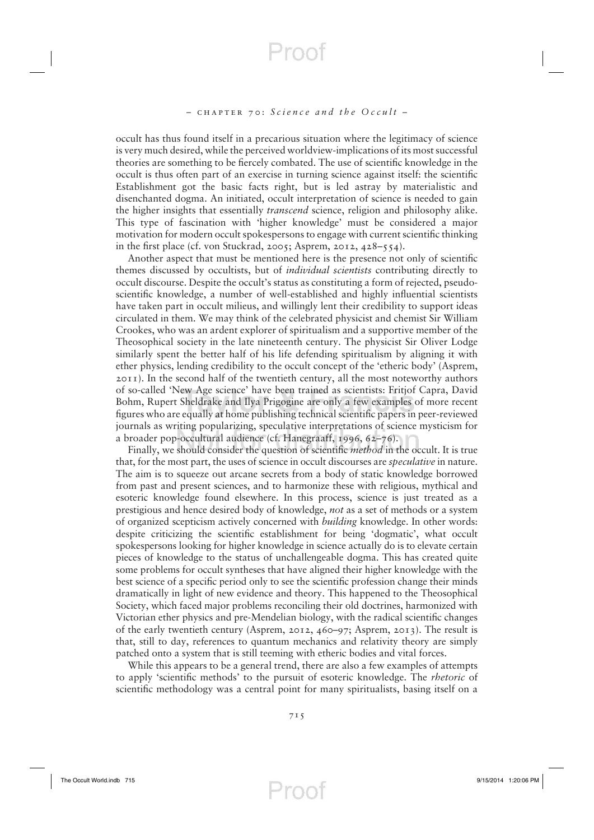# -Prant

#### *–* chapter 70: *Science and the Occult –*

occult has thus found itself in a precarious situation where the legitimacy of science is very much desired, while the perceived worldview-implications of its most successful theories are something to be fiercely combated. The use of scientific knowledge in the occult is thus often part of an exercise in turning science against itself: the scientific Establishment got the basic facts right, but is led astray by materialistic and disenchanted dogma. An initiated, occult interpretation of science is needed to gain the higher insights that essentially *transcend* science, religion and philosophy alike. This type of fascination with 'higher knowledge' must be considered a major motivation for modern occult spokespersons to engage with current scientific thinking in the first place (cf. von Stuckrad, 2005; Asprem, 2012,  $428-554$ ).

Another aspect that must be mentioned here is the presence not only of scientific themes discussed by occultists, but of *individual scientists* contributing directly to occult discourse. Despite the occult's status as constituting a form of rejected, pseudoscientific knowledge, a number of well-established and highly influential scientists have taken part in occult milieus, and willingly lent their credibility to support ideas circulated in them. We may think of the celebrated physicist and chemist Sir William Crookes, who was an ardent explorer of spiritualism and a supportive member of the Theosophical society in the late nineteenth century. The physicist Sir Oliver Lodge similarly spent the better half of his life defending spiritualism by aligning it with ether physics, lending credibility to the occult concept of the 'etheric body' (Asprem, 2011). In the second half of the twentieth century, all the most noteworthy authors of so-called 'New Age science' have been trained as scientists: Fritjof Capra, David Bohm, Rupert Sheldrake and Ilya Prigogine are only a few examples of more recent figures who are equally at home publishing technical scientific papers in peer-reviewed journals as writing popularizing, speculative interpretations of science mysticism for a broader pop-occultural audience (cf. Hanegraaff, 1996, 62–76).

Finally, we should consider the question of scientific *method* in the occult. It is true that, for the most part, the uses of science in occult discourses are *speculative* in nature. The aim is to squeeze out arcane secrets from a body of static knowledge borrowed from past and present sciences, and to harmonize these with religious, mythical and esoteric knowledge found elsewhere. In this process, science is just treated as a prestigious and hence desired body of knowledge, *not* as a set of methods or a system of organized scepticism actively concerned with *building* knowledge. In other words: despite criticizing the scientific establishment for being 'dogmatic', what occult spokespersons looking for higher knowledge in science actually do is to elevate certain pieces of knowledge to the status of unchallengeable dogma. This has created quite some problems for occult syntheses that have aligned their higher knowledge with the best science of a specific period only to see the scientific profession change their minds dramatically in light of new evidence and theory. This happened to the Theosophical Society, which faced major problems reconciling their old doctrines, harmonized with Victorian ether physics and pre-Mendelian biology, with the radical scientific changes of the early twentieth century (Asprem, 2012, 460–97; Asprem, 2013). The result is that, still to day, references to quantum mechanics and relativity theory are simply patched onto a system that is still teeming with etheric bodies and vital forces.

While this appears to be a general trend, there are also a few examples of attempts to apply 'scientific methods' to the pursuit of esoteric knowledge. The *rhetoric* of scientific methodology was a central point for many spiritualists, basing itself on a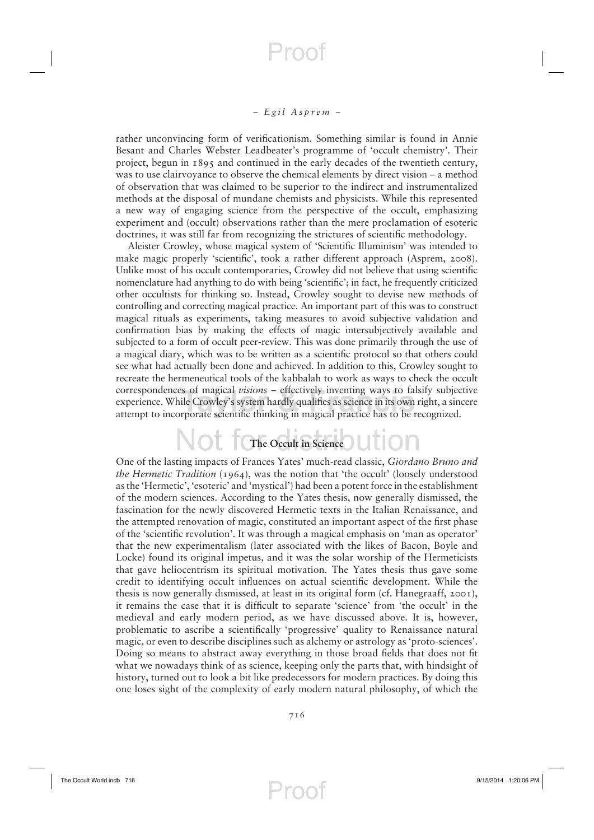# Proot

#### *– Egil Asprem –*

rather unconvincing form of verificationism. Something similar is found in Annie Besant and Charles Webster Leadbeater's programme of 'occult chemistry'. Their project, begun in 1895 and continued in the early decades of the twentieth century, was to use clairvoyance to observe the chemical elements by direct vision – a method of observation that was claimed to be superior to the indirect and instrumentalized methods at the disposal of mundane chemists and physicists. While this represented a new way of engaging science from the perspective of the occult, emphasizing experiment and (occult) observations rather than the mere proclamation of esoteric doctrines, it was still far from recognizing the strictures of scientific methodology.

Aleister Crowley, whose magical system of 'Scientific Illuminism' was intended to make magic properly 'scientific', took a rather different approach (Asprem, 2008). Unlike most of his occult contemporaries, Crowley did not believe that using scientific nomenclature had anything to do with being 'scientific'; in fact, he frequently criticized other occultists for thinking so. Instead, Crowley sought to devise new methods of controlling and correcting magical practice. An important part of this was to construct magical rituals as experiments, taking measures to avoid subjective validation and confirmation bias by making the effects of magic intersubjectively available and subjected to a form of occult peer-review. This was done primarily through the use of a magical diary, which was to be written as a scientific protocol so that others could see what had actually been done and achieved. In addition to this, Crowley sought to recreate the hermeneutical tools of the kabbalah to work as ways to check the occult correspondences of magical *visions* – effectively inventing ways to falsify subjective experience. While Crowley's system hardly qualifies as science in its own right, a sincere attempt to incorporate scientific thinking in magical practice has to be recognized.

Not f Che Occult in Science<sup>O</sup> Ution

One of the lasting impacts of Frances Yates' much-read classic, *Giordano Bruno and the Hermetic Tradition* (1964), was the notion that 'the occult' (loosely understood as the 'Hermetic', 'esoteric' and 'mystical') had been a potent force in the establishment of the modern sciences. According to the Yates thesis, now generally dismissed, the fascination for the newly discovered Hermetic texts in the Italian Renaissance, and the attempted renovation of magic, constituted an important aspect of the first phase of the 'scientific revolution'. It was through a magical emphasis on 'man as operator' that the new experimentalism (later associated with the likes of Bacon, Boyle and Locke) found its original impetus, and it was the solar worship of the Hermeticists that gave heliocentrism its spiritual motivation. The Yates thesis thus gave some credit to identifying occult influences on actual scientific development. While the thesis is now generally dismissed, at least in its original form (cf. Hanegraaff, 2001), it remains the case that it is difficult to separate 'science' from 'the occult' in the medieval and early modern period, as we have discussed above. It is, however, problematic to ascribe a scientifically 'progressive' quality to Renaissance natural magic, or even to describe disciplines such as alchemy or astrology as 'proto-sciences'. Doing so means to abstract away everything in those broad fields that does not fit what we nowadays think of as science, keeping only the parts that, with hindsight of history, turned out to look a bit like predecessors for modern practices. By doing this one loses sight of the complexity of early modern natural philosophy, of which the

Proot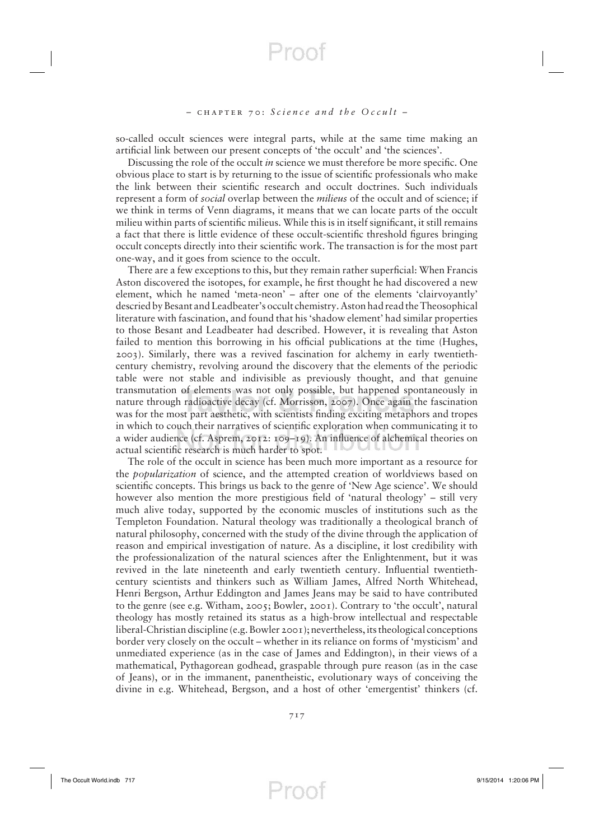# Proot

#### *–* chapter 70: *Science and the Occult –*

so-called occult sciences were integral parts, while at the same time making an artificial link between our present concepts of 'the occult' and 'the sciences'.

Discussing the role of the occult *in* science we must therefore be more specific. One obvious place to start is by returning to the issue of scientific professionals who make the link between their scientific research and occult doctrines. Such individuals represent a form of *social* overlap between the *milieus* of the occult and of science; if we think in terms of Venn diagrams, it means that we can locate parts of the occult milieu within parts of scientific milieus. While this is in itself significant, it still remains a fact that there is little evidence of these occult-scientific threshold figures bringing occult concepts directly into their scientific work. The transaction is for the most part one-way, and it goes from science to the occult.

There are a few exceptions to this, but they remain rather superficial: When Francis Aston discovered the isotopes, for example, he first thought he had discovered a new element, which he named 'meta-neon' – after one of the elements 'clairvoyantly' descried by Besant and Leadbeater's occult chemistry. Aston had read the Theosophical literature with fascination, and found that his 'shadow element' had similar properties to those Besant and Leadbeater had described. However, it is revealing that Aston failed to mention this borrowing in his official publications at the time (Hughes, 2003). Similarly, there was a revived fascination for alchemy in early twentiethcentury chemistry, revolving around the discovery that the elements of the periodic table were not stable and indivisible as previously thought, and that genuine transmutation of elements was not only possible, but happened spontaneously in nature through radioactive decay (cf. Morrisson, 2007). Once again the fascination was for the most part aesthetic, with scientists finding exciting metaphors and tropes in which to couch their narratives of scientific exploration when communicating it to a wider audience (cf. Asprem,  $2012$ :  $109-19$ ). An influence of alchemical theories on actual scientific research is much harder to spot.

The role of the occult in science has been much more important as a resource for the *popularization* of science, and the attempted creation of worldviews based on scientific concepts. This brings us back to the genre of 'New Age science'. We should however also mention the more prestigious field of 'natural theology' – still very much alive today, supported by the economic muscles of institutions such as the Templeton Foundation. Natural theology was traditionally a theological branch of natural philosophy, concerned with the study of the divine through the application of reason and empirical investigation of nature. As a discipline, it lost credibility with the professionalization of the natural sciences after the Enlightenment, but it was revived in the late nineteenth and early twentieth century. Influential twentiethcentury scientists and thinkers such as William James, Alfred North Whitehead, Henri Bergson, Arthur Eddington and James Jeans may be said to have contributed to the genre (see e.g. Witham, 2005; Bowler, 2001). Contrary to 'the occult', natural theology has mostly retained its status as a high-brow intellectual and respectable liberal-Christian discipline (e.g. Bowler 2001); nevertheless, its theological conceptions border very closely on the occult – whether in its reliance on forms of 'mysticism' and unmediated experience (as in the case of James and Eddington), in their views of a mathematical, Pythagorean godhead, graspable through pure reason (as in the case of Jeans), or in the immanent, panentheistic, evolutionary ways of conceiving the divine in e.g. Whitehead, Bergson, and a host of other 'emergentist' thinkers (cf.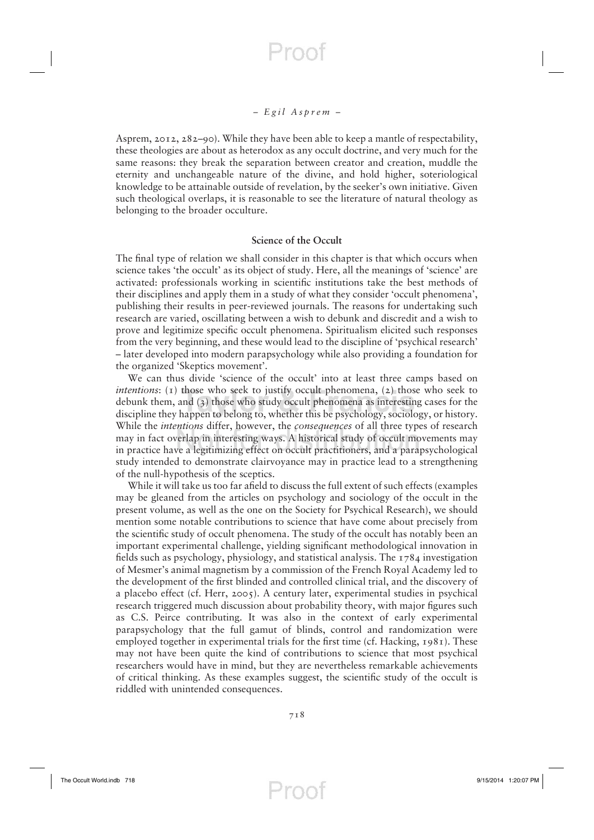#### *– Egil Asprem –*

Proot

Asprem, 2012, 282–90). While they have been able to keep a mantle of respectability, these theologies are about as heterodox as any occult doctrine, and very much for the same reasons: they break the separation between creator and creation, muddle the eternity and unchangeable nature of the divine, and hold higher, soteriological knowledge to be attainable outside of revelation, by the seeker's own initiative. Given such theological overlaps, it is reasonable to see the literature of natural theology as belonging to the broader occulture.

#### **Science of the Occult**

The final type of relation we shall consider in this chapter is that which occurs when science takes 'the occult' as its object of study. Here, all the meanings of 'science' are activated: professionals working in scientific institutions take the best methods of their disciplines and apply them in a study of what they consider 'occult phenomena', publishing their results in peer-reviewed journals. The reasons for undertaking such research are varied, oscillating between a wish to debunk and discredit and a wish to prove and legitimize specifi c occult phenomena. Spiritualism elicited such responses from the very beginning, and these would lead to the discipline of 'psychical research' – later developed into modern parapsychology while also providing a foundation for the organized 'Skeptics movement'.

We can thus divide 'science of the occult' into at least three camps based on *intentions*: (1) those who seek to justify occult phenomena, (2) those who seek to debunk them, and (3) those who study occult phenomena as interesting cases for the discipline they happen to belong to, whether this be psychology, sociology, or history. While the *intentions* differ, however, the *consequences* of all three types of research may in fact overlap in interesting ways. A historical study of occult movements may in practice have a legitimizing effect on occult practitioners, and a parapsychological study intended to demonstrate clairvoyance may in practice lead to a strengthening of the null-hypothesis of the sceptics.

While it will take us too far afield to discuss the full extent of such effects (examples may be gleaned from the articles on psychology and sociology of the occult in the present volume, as well as the one on the Society for Psychical Research), we should mention some notable contributions to science that have come about precisely from the scientific study of occult phenomena. The study of the occult has notably been an important experimental challenge, yielding significant methodological innovation in fields such as psychology, physiology, and statistical analysis. The  $1784$  investigation of Mesmer's animal magnetism by a commission of the French Royal Academy led to the development of the first blinded and controlled clinical trial, and the discovery of a placebo effect (cf. Herr, 2005). A century later, experimental studies in psychical research triggered much discussion about probability theory, with major figures such as C.S. Peirce contributing. It was also in the context of early experimental parapsychology that the full gamut of blinds, control and randomization were employed together in experimental trials for the first time (cf. Hacking,  $1981$ ). These may not have been quite the kind of contributions to science that most psychical researchers would have in mind, but they are nevertheless remarkable achievements of critical thinking. As these examples suggest, the scientific study of the occult is riddled with unintended consequences.